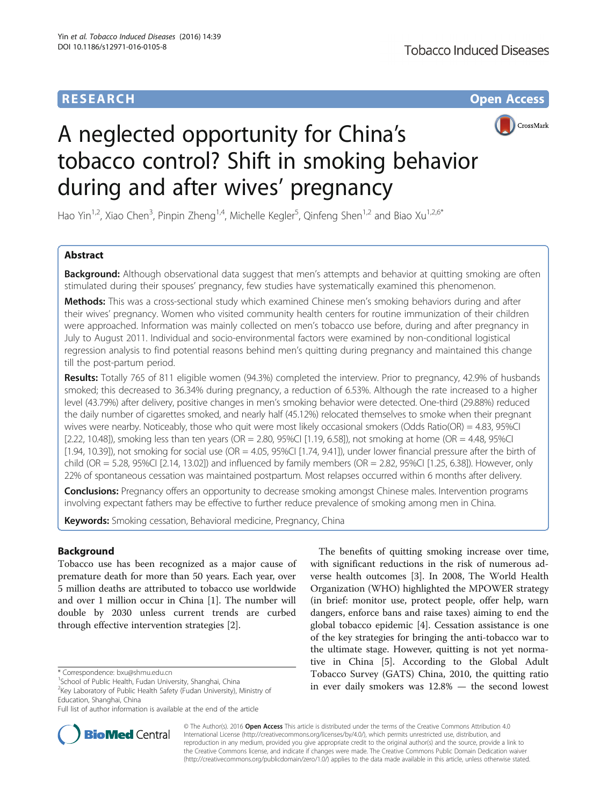## **RESEARCH CHE Open Access**



# A neglected opportunity for China's tobacco control? Shift in smoking behavior during and after wives' pregnancy

Hao Yin<sup>1,2</sup>, Xiao Chen<sup>3</sup>, Pinpin Zheng<sup>1,4</sup>, Michelle Kegler<sup>5</sup>, Qinfeng Shen<sup>1,2</sup> and Biao Xu<sup>1,2,6\*</sup>

## Abstract

**Background:** Although observational data suggest that men's attempts and behavior at quitting smoking are often stimulated during their spouses' pregnancy, few studies have systematically examined this phenomenon.

Methods: This was a cross-sectional study which examined Chinese men's smoking behaviors during and after their wives' pregnancy. Women who visited community health centers for routine immunization of their children were approached. Information was mainly collected on men's tobacco use before, during and after pregnancy in July to August 2011. Individual and socio-environmental factors were examined by non-conditional logistical regression analysis to find potential reasons behind men's quitting during pregnancy and maintained this change till the post-partum period.

Results: Totally 765 of 811 eligible women (94.3%) completed the interview. Prior to pregnancy, 42.9% of husbands smoked; this decreased to 36.34% during pregnancy, a reduction of 6.53%. Although the rate increased to a higher level (43.79%) after delivery, positive changes in men's smoking behavior were detected. One-third (29.88%) reduced the daily number of cigarettes smoked, and nearly half (45.12%) relocated themselves to smoke when their pregnant wives were nearby. Noticeably, those who quit were most likely occasional smokers (Odds Ratio(OR) = 4.83, 95%CI [2.22, 10.48]), smoking less than ten years (OR = 2.80, 95%CI [1.19, 6.58]), not smoking at home (OR = 4.48, 95%CI  $[1.94, 10.39]$ ), not smoking for social use  $(OR = 4.05, 95\%)$ CI  $[1.74, 9.41]$ ), under lower financial pressure after the birth of child (OR = 5.28, 95%CI [2.14, 13.02]) and influenced by family members (OR = 2.82, 95%CI [1.25, 6.38]). However, only 22% of spontaneous cessation was maintained postpartum. Most relapses occurred within 6 months after delivery.

**Conclusions:** Pregnancy offers an opportunity to decrease smoking amongst Chinese males. Intervention programs involving expectant fathers may be effective to further reduce prevalence of smoking among men in China.

**Keywords:** Smoking cessation, Behavioral medicine, Pregnancy, China

## Background

Tobacco use has been recognized as a major cause of premature death for more than 50 years. Each year, over 5 million deaths are attributed to tobacco use worldwide and over 1 million occur in China [[1\]](#page-6-0). The number will double by 2030 unless current trends are curbed through effective intervention strategies [\[2\]](#page-6-0).

The benefits of quitting smoking increase over time, with significant reductions in the risk of numerous adverse health outcomes [\[3](#page-6-0)]. In 2008, The World Health Organization (WHO) highlighted the MPOWER strategy (in brief: monitor use, protect people, offer help, warn dangers, enforce bans and raise taxes) aiming to end the global tobacco epidemic [\[4](#page-6-0)]. Cessation assistance is one of the key strategies for bringing the anti-tobacco war to the ultimate stage. However, quitting is not yet normative in China [\[5](#page-6-0)]. According to the Global Adult Tobacco Survey (GATS) China, 2010, the quitting ratio in ever daily smokers was 12.8% — the second lowest



© The Author(s). 2016 Open Access This article is distributed under the terms of the Creative Commons Attribution 4.0 International License [\(http://creativecommons.org/licenses/by/4.0/](http://creativecommons.org/licenses/by/4.0/)), which permits unrestricted use, distribution, and reproduction in any medium, provided you give appropriate credit to the original author(s) and the source, provide a link to the Creative Commons license, and indicate if changes were made. The Creative Commons Public Domain Dedication waiver [\(http://creativecommons.org/publicdomain/zero/1.0/](http://creativecommons.org/publicdomain/zero/1.0/)) applies to the data made available in this article, unless otherwise stated.

<sup>\*</sup> Correspondence: [bxu@shmu.edu.cn](mailto:bxu@shmu.edu.cn) <sup>1</sup>

<sup>&</sup>lt;sup>1</sup>School of Public Health, Fudan University, Shanghai, China <sup>2</sup>Key Laboratory of Public Health Safety (Fudan University), Ministry of

Education, Shanghai, China

Full list of author information is available at the end of the article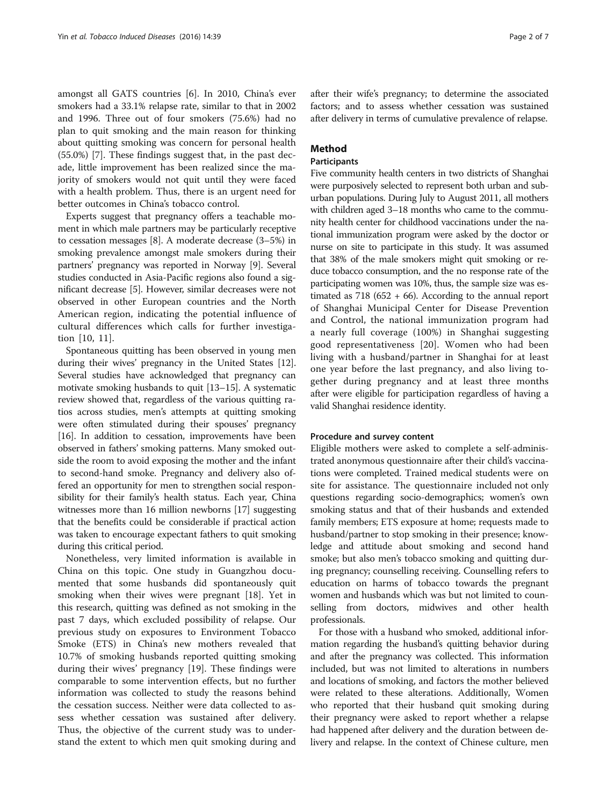amongst all GATS countries [\[6](#page-6-0)]. In 2010, China's ever smokers had a 33.1% relapse rate, similar to that in 2002 and 1996. Three out of four smokers (75.6%) had no plan to quit smoking and the main reason for thinking about quitting smoking was concern for personal health (55.0%) [\[7](#page-6-0)]. These findings suggest that, in the past decade, little improvement has been realized since the majority of smokers would not quit until they were faced with a health problem. Thus, there is an urgent need for better outcomes in China's tobacco control.

Experts suggest that pregnancy offers a teachable moment in which male partners may be particularly receptive to cessation messages [\[8\]](#page-6-0). A moderate decrease (3–5%) in smoking prevalence amongst male smokers during their partners' pregnancy was reported in Norway [\[9](#page-6-0)]. Several studies conducted in Asia-Pacific regions also found a significant decrease [\[5](#page-6-0)]. However, similar decreases were not observed in other European countries and the North American region, indicating the potential influence of cultural differences which calls for further investigation [[10](#page-6-0), [11\]](#page-6-0).

Spontaneous quitting has been observed in young men during their wives' pregnancy in the United States [[12](#page-6-0)]. Several studies have acknowledged that pregnancy can motivate smoking husbands to quit [[13](#page-6-0)–[15\]](#page-6-0). A systematic review showed that, regardless of the various quitting ratios across studies, men's attempts at quitting smoking were often stimulated during their spouses' pregnancy [[16](#page-6-0)]. In addition to cessation, improvements have been observed in fathers' smoking patterns. Many smoked outside the room to avoid exposing the mother and the infant to second-hand smoke. Pregnancy and delivery also offered an opportunity for men to strengthen social responsibility for their family's health status. Each year, China witnesses more than 16 million newborns [[17](#page-6-0)] suggesting that the benefits could be considerable if practical action was taken to encourage expectant fathers to quit smoking during this critical period.

Nonetheless, very limited information is available in China on this topic. One study in Guangzhou documented that some husbands did spontaneously quit smoking when their wives were pregnant [[18](#page-6-0)]. Yet in this research, quitting was defined as not smoking in the past 7 days, which excluded possibility of relapse. Our previous study on exposures to Environment Tobacco Smoke (ETS) in China's new mothers revealed that 10.7% of smoking husbands reported quitting smoking during their wives' pregnancy [[19](#page-6-0)]. These findings were comparable to some intervention effects, but no further information was collected to study the reasons behind the cessation success. Neither were data collected to assess whether cessation was sustained after delivery. Thus, the objective of the current study was to understand the extent to which men quit smoking during and after their wife's pregnancy; to determine the associated factors; and to assess whether cessation was sustained after delivery in terms of cumulative prevalence of relapse.

### Method

## Participants

Five community health centers in two districts of Shanghai were purposively selected to represent both urban and suburban populations. During July to August 2011, all mothers with children aged 3–18 months who came to the community health center for childhood vaccinations under the national immunization program were asked by the doctor or nurse on site to participate in this study. It was assumed that 38% of the male smokers might quit smoking or reduce tobacco consumption, and the no response rate of the participating women was 10%, thus, the sample size was estimated as  $718$  (652 + 66). According to the annual report of Shanghai Municipal Center for Disease Prevention and Control, the national immunization program had a nearly full coverage (100%) in Shanghai suggesting good representativeness [[20\]](#page-6-0). Women who had been living with a husband/partner in Shanghai for at least one year before the last pregnancy, and also living together during pregnancy and at least three months after were eligible for participation regardless of having a valid Shanghai residence identity.

#### Procedure and survey content

Eligible mothers were asked to complete a self-administrated anonymous questionnaire after their child's vaccinations were completed. Trained medical students were on site for assistance. The questionnaire included not only questions regarding socio-demographics; women's own smoking status and that of their husbands and extended family members; ETS exposure at home; requests made to husband/partner to stop smoking in their presence; knowledge and attitude about smoking and second hand smoke; but also men's tobacco smoking and quitting during pregnancy; counselling receiving. Counselling refers to education on harms of tobacco towards the pregnant women and husbands which was but not limited to counselling from doctors, midwives and other health professionals.

For those with a husband who smoked, additional information regarding the husband's quitting behavior during and after the pregnancy was collected. This information included, but was not limited to alterations in numbers and locations of smoking, and factors the mother believed were related to these alterations. Additionally, Women who reported that their husband quit smoking during their pregnancy were asked to report whether a relapse had happened after delivery and the duration between delivery and relapse. In the context of Chinese culture, men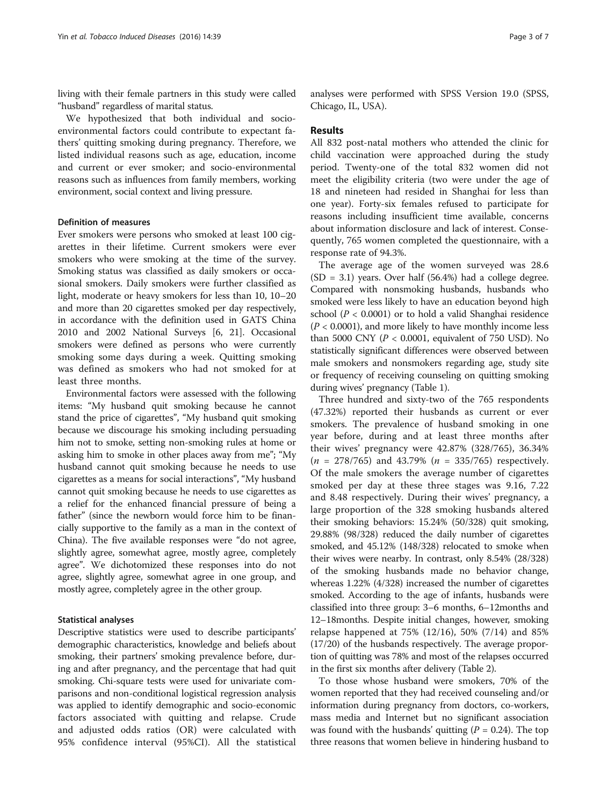living with their female partners in this study were called "husband" regardless of marital status.

We hypothesized that both individual and socioenvironmental factors could contribute to expectant fathers' quitting smoking during pregnancy. Therefore, we listed individual reasons such as age, education, income and current or ever smoker; and socio-environmental reasons such as influences from family members, working environment, social context and living pressure.

#### Definition of measures

Ever smokers were persons who smoked at least 100 cigarettes in their lifetime. Current smokers were ever smokers who were smoking at the time of the survey. Smoking status was classified as daily smokers or occasional smokers. Daily smokers were further classified as light, moderate or heavy smokers for less than 10, 10–20 and more than 20 cigarettes smoked per day respectively, in accordance with the definition used in GATS China 2010 and 2002 National Surveys [[6](#page-6-0), [21\]](#page-6-0). Occasional smokers were defined as persons who were currently smoking some days during a week. Quitting smoking was defined as smokers who had not smoked for at least three months.

Environmental factors were assessed with the following items: "My husband quit smoking because he cannot stand the price of cigarettes", "My husband quit smoking because we discourage his smoking including persuading him not to smoke, setting non-smoking rules at home or asking him to smoke in other places away from me"; "My husband cannot quit smoking because he needs to use cigarettes as a means for social interactions", "My husband cannot quit smoking because he needs to use cigarettes as a relief for the enhanced financial pressure of being a father" (since the newborn would force him to be financially supportive to the family as a man in the context of China). The five available responses were "do not agree, slightly agree, somewhat agree, mostly agree, completely agree". We dichotomized these responses into do not agree, slightly agree, somewhat agree in one group, and mostly agree, completely agree in the other group.

#### Statistical analyses

Descriptive statistics were used to describe participants' demographic characteristics, knowledge and beliefs about smoking, their partners' smoking prevalence before, during and after pregnancy, and the percentage that had quit smoking. Chi-square tests were used for univariate comparisons and non-conditional logistical regression analysis was applied to identify demographic and socio-economic factors associated with quitting and relapse. Crude and adjusted odds ratios (OR) were calculated with 95% confidence interval (95%CI). All the statistical

analyses were performed with SPSS Version 19.0 (SPSS, Chicago, IL, USA).

#### Results

All 832 post-natal mothers who attended the clinic for child vaccination were approached during the study period. Twenty-one of the total 832 women did not meet the eligibility criteria (two were under the age of 18 and nineteen had resided in Shanghai for less than one year). Forty-six females refused to participate for reasons including insufficient time available, concerns about information disclosure and lack of interest. Consequently, 765 women completed the questionnaire, with a response rate of 94.3%.

The average age of the women surveyed was 28.6 (SD = 3.1) years. Over half (56.4%) had a college degree. Compared with nonsmoking husbands, husbands who smoked were less likely to have an education beyond high school ( $P < 0.0001$ ) or to hold a valid Shanghai residence  $(P < 0.0001)$ , and more likely to have monthly income less than 5000 CNY ( $P < 0.0001$ , equivalent of 750 USD). No statistically significant differences were observed between male smokers and nonsmokers regarding age, study site or frequency of receiving counseling on quitting smoking during wives' pregnancy (Table [1](#page-3-0)).

Three hundred and sixty-two of the 765 respondents (47.32%) reported their husbands as current or ever smokers. The prevalence of husband smoking in one year before, during and at least three months after their wives' pregnancy were 42.87% (328/765), 36.34%  $(n = 278/765)$  and 43.79%  $(n = 335/765)$  respectively. Of the male smokers the average number of cigarettes smoked per day at these three stages was 9.16, 7.22 and 8.48 respectively. During their wives' pregnancy, a large proportion of the 328 smoking husbands altered their smoking behaviors: 15.24% (50/328) quit smoking, 29.88% (98/328) reduced the daily number of cigarettes smoked, and 45.12% (148/328) relocated to smoke when their wives were nearby. In contrast, only 8.54% (28/328) of the smoking husbands made no behavior change, whereas 1.22% (4/328) increased the number of cigarettes smoked. According to the age of infants, husbands were classified into three group: 3–6 months, 6–12months and 12–18months. Despite initial changes, however, smoking relapse happened at 75% (12/16), 50% (7/14) and 85% (17/20) of the husbands respectively. The average proportion of quitting was 78% and most of the relapses occurred in the first six months after delivery (Table [2](#page-3-0)).

To those whose husband were smokers, 70% of the women reported that they had received counseling and/or information during pregnancy from doctors, co-workers, mass media and Internet but no significant association was found with the husbands' quitting  $(P = 0.24)$ . The top three reasons that women believe in hindering husband to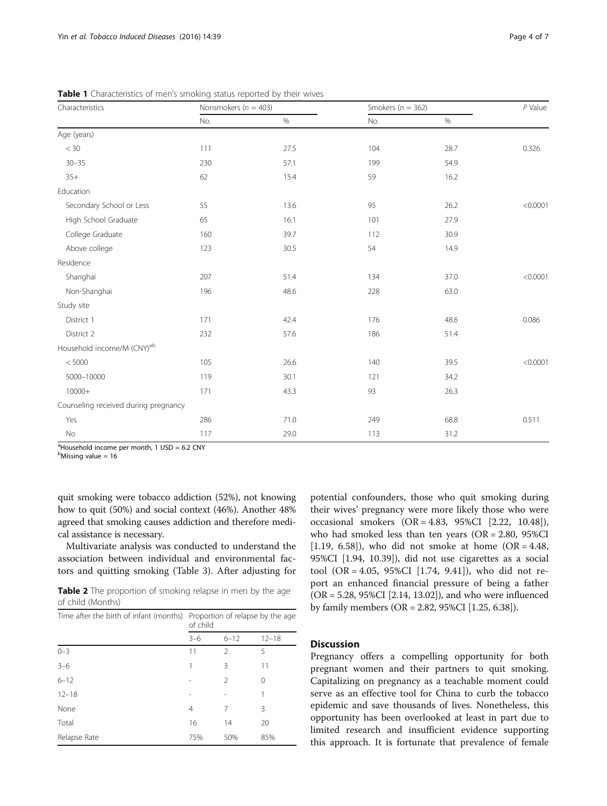| Characteristics                        | Nonsmokers ( $n = 403$ ) |      |     | Smokers ( $n = 362$ ) |          |
|----------------------------------------|--------------------------|------|-----|-----------------------|----------|
|                                        | No.                      | $\%$ | No. | $\%$                  |          |
| Age (years)                            |                          |      |     |                       |          |
| < 30                                   | 111                      | 27.5 | 104 | 28.7                  | 0.326    |
| $30 - 35$                              | 230                      | 57.1 | 199 | 54.9                  |          |
| $35+$                                  | 62                       | 15.4 | 59  | 16.2                  |          |
| Education                              |                          |      |     |                       |          |
| Secondary School or Less               | 55                       | 13.6 | 95  | 26.2                  | < 0.0001 |
| High School Graduate                   | 65                       | 16.1 | 101 | 27.9                  |          |
| College Graduate                       | 160                      | 39.7 | 112 | 30.9                  |          |
| Above college                          | 123                      | 30.5 | 54  | 14.9                  |          |
| Residence                              |                          |      |     |                       |          |
| Shanghai                               | 207                      | 51.4 | 134 | 37.0                  | < 0.0001 |
| Non-Shanghai                           | 196                      | 48.6 | 228 | 63.0                  |          |
| Study site                             |                          |      |     |                       |          |
| District 1                             | 171                      | 42.4 | 176 | 48.6                  | 0.086    |
| District 2                             | 232                      | 57.6 | 186 | 51.4                  |          |
| Household income/M (CNY) <sup>ab</sup> |                          |      |     |                       |          |
| < 5000                                 | 105                      | 26.6 | 140 | 39.5                  | < 0.0001 |
| 5000-10000                             | 119                      | 30.1 | 121 | 34.2                  |          |
| $10000+$                               | 171                      | 43.3 | 93  | 26.3                  |          |
| Counseling received during pregnancy   |                          |      |     |                       |          |
| Yes                                    | 286                      | 71.0 | 249 | 68.8                  | 0.511    |
| No                                     | 117                      | 29.0 | 113 | 31.2                  |          |

<span id="page-3-0"></span>Table 1 Characteristics of men's smoking status reported by their wives

<sup>a</sup> Household income per month, 1 USD = 6.2 CNY

<sup>b</sup>Missing value = 16

quit smoking were tobacco addiction (52%), not knowing how to quit (50%) and social context (46%). Another 48% agreed that smoking causes addiction and therefore medical assistance is necessary.

Multivariate analysis was conducted to understand the association between individual and environmental factors and quitting smoking (Table [3\)](#page-4-0). After adjusting for

Table 2 The proportion of smoking relapse in men by the age of child (Months)

| Time after the birth of infant (months) Proportion of relapse by the age | of child |                |           |  |
|--------------------------------------------------------------------------|----------|----------------|-----------|--|
|                                                                          | $3 - 6$  | $6 - 12$       | $12 - 18$ |  |
| $0 - 3$                                                                  | 11       | $\mathfrak{D}$ | 5         |  |
| $3 - 6$                                                                  | 1        | 3              | 11        |  |
| $6 - 12$                                                                 |          | $\mathcal{P}$  | 0         |  |
| $12 - 18$                                                                |          |                |           |  |
| None                                                                     | 4        | 7              | 3         |  |
| Total                                                                    | 16       | 14             | 20        |  |
| Relapse Rate                                                             | 75%      | 50%            | 85%       |  |

potential confounders, those who quit smoking during their wives' pregnancy were more likely those who were occasional smokers (OR = 4.83, 95%CI [2.22, 10.48]), who had smoked less than ten years (OR = 2.80, 95%CI [1.19, 6.58]), who did not smoke at home  $(OR = 4.48,$ 95%CI [1.94, 10.39]), did not use cigarettes as a social tool (OR = 4.05, 95%CI [1.74, 9.41]), who did not report an enhanced financial pressure of being a father (OR = 5.28, 95%CI [2.14, 13.02]), and who were influenced by family members (OR = 2.82, 95%CI [1.25, 6.38]).

#### **Discussion**

Pregnancy offers a compelling opportunity for both pregnant women and their partners to quit smoking. Capitalizing on pregnancy as a teachable moment could serve as an effective tool for China to curb the tobacco epidemic and save thousands of lives. Nonetheless, this opportunity has been overlooked at least in part due to limited research and insufficient evidence supporting this approach. It is fortunate that prevalence of female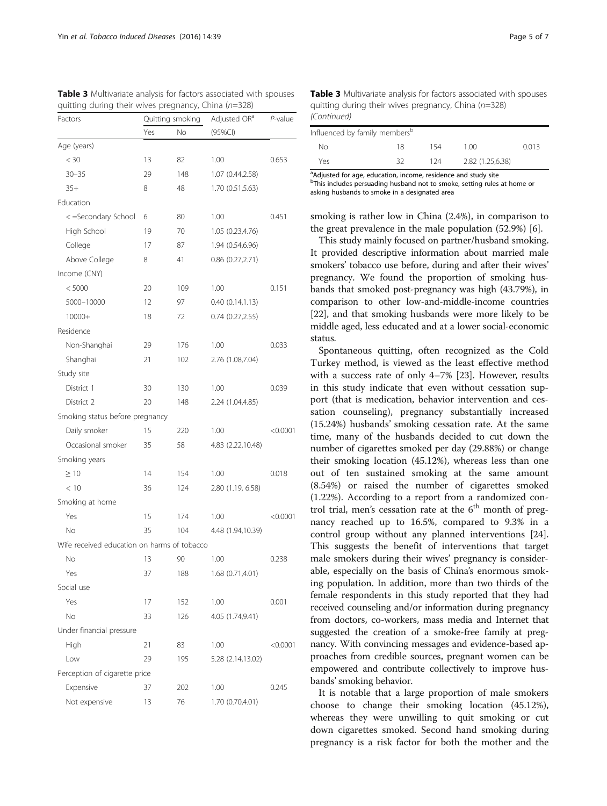| Factors                                     | Quitting smoking |     | Adjusted OR <sup>a</sup> | P-value  |
|---------------------------------------------|------------------|-----|--------------------------|----------|
|                                             | Yes              | No  | (95%CI)                  |          |
| Age (years)                                 |                  |     |                          |          |
| $<$ 30                                      | 13               | 82  | 1.00                     | 0.653    |
| $30 - 35$                                   | 29               | 148 | 1.07 (0.44,2.58)         |          |
| $35+$                                       | 8                | 48  | 1.70 (0.51,5.63)         |          |
| Education                                   |                  |     |                          |          |
| <= Secondary School                         | 6                | 80  | 1.00                     | 0.451    |
| High School                                 | 19               | 70  | 1.05 (0.23,4.76)         |          |
| College                                     | 17               | 87  | 1.94 (0.54,6.96)         |          |
| Above College                               | 8                | 41  | 0.86 (0.27,2.71)         |          |
| Income (CNY)                                |                  |     |                          |          |
| < 5000                                      | 20               | 109 | 1.00                     | 0.151    |
| 5000-10000                                  | 12               | 97  | 0.40(0.14, 1.13)         |          |
| $10000+$                                    | 18               | 72  | 0.74(0.27, 2.55)         |          |
| Residence                                   |                  |     |                          |          |
| Non-Shanghai                                | 29               | 176 | 1.00                     | 0.033    |
| Shanghai                                    | 21               | 102 | 2.76 (1.08,7.04)         |          |
| Study site                                  |                  |     |                          |          |
| District 1                                  | 30               | 130 | 1.00                     | 0.039    |
| District 2                                  | 20               | 148 | 2.24 (1.04,4.85)         |          |
| Smoking status before pregnancy             |                  |     |                          |          |
| Daily smoker                                | 15               | 220 | 1.00                     | < 0.0001 |
| Occasional smoker                           | 35               | 58  | 4.83 (2.22,10.48)        |          |
| Smoking years                               |                  |     |                          |          |
| $\geq 10$                                   | 14               | 154 | 1.00                     | 0.018    |
| < 10                                        | 36               | 124 | 2.80 (1.19, 6.58)        |          |
| Smoking at home                             |                  |     |                          |          |
| Yes                                         | 15               | 174 | 1.00                     | < 0.0001 |
| No                                          | 35               | 104 | 4.48 (1.94,10.39)        |          |
| Wife received education on harms of tobacco |                  |     |                          |          |
| No                                          | 13               | 90  | 1.00                     | 0.238    |
| Yes                                         | 37               | 188 | 1.68 (0.71,4.01)         |          |
| Social use                                  |                  |     |                          |          |
| Yes                                         | 17               | 152 | 1.00                     | 0.001    |
| No.                                         | 33               | 126 | 4.05 (1.74,9.41)         |          |
| Under financial pressure                    |                  |     |                          |          |
| High                                        | 21               | 83  | 1.00                     | < 0.0001 |
| Low                                         | 29               | 195 | 5.28 (2.14,13.02)        |          |
| Perception of cigarette price               |                  |     |                          |          |
| Expensive                                   | 37               | 202 | 1.00                     | 0.245    |
| Not expensive                               | 13               | 76  | 1.70 (0.70,4.01)         |          |

<span id="page-4-0"></span>Table 3 Multivariate analysis for factors associated with spouses quitting during their wives pregnancy, China (n=328)

| Table 3 Multivariate analysis for factors associated with spouses |  |
|-------------------------------------------------------------------|--|
| quitting during their wives pregnancy, China $(n=328)$            |  |
| (Continued)                                                       |  |

| Influenced by family members <sup>b</sup> |    |     |                  |       |
|-------------------------------------------|----|-----|------------------|-------|
| No                                        | 18 | 154 | 1 00             | 0.013 |
| Yes                                       | 3) | 124 | 2.82 (1.25,6.38) |       |

<sup>a</sup>Adjusted for age, education, income, residence and study site <sup>b</sup>This includes persuading husband not to smoke, setting rules at home or asking husbands to smoke in a designated area

smoking is rather low in China (2.4%), in comparison to the great prevalence in the male population (52.9%) [[6\]](#page-6-0).

This study mainly focused on partner/husband smoking. It provided descriptive information about married male smokers' tobacco use before, during and after their wives' pregnancy. We found the proportion of smoking husbands that smoked post-pregnancy was high (43.79%), in comparison to other low-and-middle-income countries [[22](#page-6-0)], and that smoking husbands were more likely to be middle aged, less educated and at a lower social-economic status.

Spontaneous quitting, often recognized as the Cold Turkey method, is viewed as the least effective method with a success rate of only 4–7% [[23\]](#page-6-0). However, results in this study indicate that even without cessation support (that is medication, behavior intervention and cessation counseling), pregnancy substantially increased (15.24%) husbands' smoking cessation rate. At the same time, many of the husbands decided to cut down the number of cigarettes smoked per day (29.88%) or change their smoking location (45.12%), whereas less than one out of ten sustained smoking at the same amount (8.54%) or raised the number of cigarettes smoked (1.22%). According to a report from a randomized control trial, men's cessation rate at the  $6<sup>th</sup>$  month of pregnancy reached up to 16.5%, compared to 9.3% in a control group without any planned interventions [\[24](#page-6-0)]. This suggests the benefit of interventions that target male smokers during their wives' pregnancy is considerable, especially on the basis of China's enormous smoking population. In addition, more than two thirds of the female respondents in this study reported that they had received counseling and/or information during pregnancy from doctors, co-workers, mass media and Internet that suggested the creation of a smoke-free family at pregnancy. With convincing messages and evidence-based approaches from credible sources, pregnant women can be empowered and contribute collectively to improve husbands' smoking behavior.

It is notable that a large proportion of male smokers choose to change their smoking location (45.12%), whereas they were unwilling to quit smoking or cut down cigarettes smoked. Second hand smoking during pregnancy is a risk factor for both the mother and the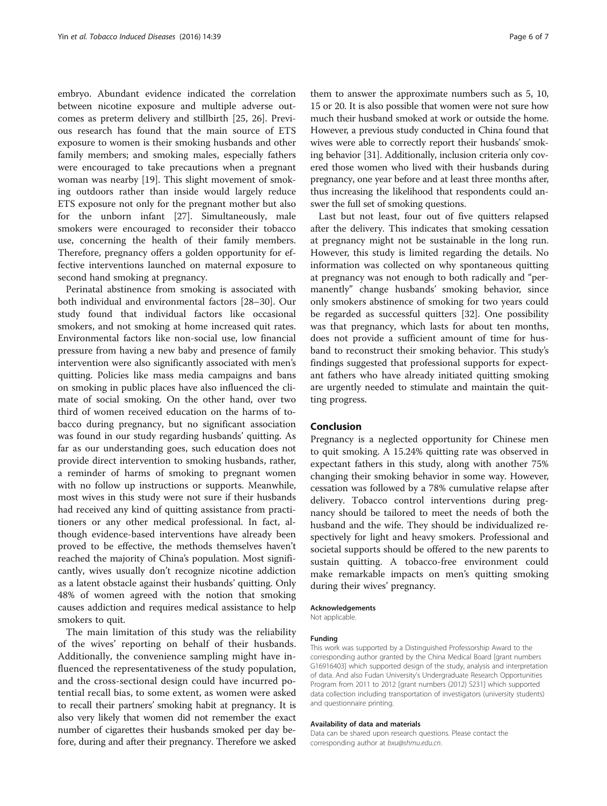embryo. Abundant evidence indicated the correlation between nicotine exposure and multiple adverse outcomes as preterm delivery and stillbirth [\[25](#page-6-0), [26\]](#page-6-0). Previous research has found that the main source of ETS exposure to women is their smoking husbands and other family members; and smoking males, especially fathers were encouraged to take precautions when a pregnant woman was nearby [\[19\]](#page-6-0). This slight movement of smoking outdoors rather than inside would largely reduce ETS exposure not only for the pregnant mother but also for the unborn infant [[27\]](#page-6-0). Simultaneously, male smokers were encouraged to reconsider their tobacco use, concerning the health of their family members. Therefore, pregnancy offers a golden opportunity for effective interventions launched on maternal exposure to second hand smoking at pregnancy.

Perinatal abstinence from smoking is associated with both individual and environmental factors [\[28](#page-6-0)–[30\]](#page-6-0). Our study found that individual factors like occasional smokers, and not smoking at home increased quit rates. Environmental factors like non-social use, low financial pressure from having a new baby and presence of family intervention were also significantly associated with men's quitting. Policies like mass media campaigns and bans on smoking in public places have also influenced the climate of social smoking. On the other hand, over two third of women received education on the harms of tobacco during pregnancy, but no significant association was found in our study regarding husbands' quitting. As far as our understanding goes, such education does not provide direct intervention to smoking husbands, rather, a reminder of harms of smoking to pregnant women with no follow up instructions or supports. Meanwhile, most wives in this study were not sure if their husbands had received any kind of quitting assistance from practitioners or any other medical professional. In fact, although evidence-based interventions have already been proved to be effective, the methods themselves haven't reached the majority of China's population. Most significantly, wives usually don't recognize nicotine addiction as a latent obstacle against their husbands' quitting. Only 48% of women agreed with the notion that smoking causes addiction and requires medical assistance to help smokers to quit.

The main limitation of this study was the reliability of the wives' reporting on behalf of their husbands. Additionally, the convenience sampling might have influenced the representativeness of the study population, and the cross-sectional design could have incurred potential recall bias, to some extent, as women were asked to recall their partners' smoking habit at pregnancy. It is also very likely that women did not remember the exact number of cigarettes their husbands smoked per day before, during and after their pregnancy. Therefore we asked

them to answer the approximate numbers such as 5, 10, 15 or 20. It is also possible that women were not sure how much their husband smoked at work or outside the home. However, a previous study conducted in China found that wives were able to correctly report their husbands' smoking behavior [\[31\]](#page-6-0). Additionally, inclusion criteria only covered those women who lived with their husbands during pregnancy, one year before and at least three months after, thus increasing the likelihood that respondents could answer the full set of smoking questions.

Last but not least, four out of five quitters relapsed after the delivery. This indicates that smoking cessation at pregnancy might not be sustainable in the long run. However, this study is limited regarding the details. No information was collected on why spontaneous quitting at pregnancy was not enough to both radically and "permanently" change husbands' smoking behavior, since only smokers abstinence of smoking for two years could be regarded as successful quitters [\[32\]](#page-6-0). One possibility was that pregnancy, which lasts for about ten months, does not provide a sufficient amount of time for husband to reconstruct their smoking behavior. This study's findings suggested that professional supports for expectant fathers who have already initiated quitting smoking are urgently needed to stimulate and maintain the quitting progress.

## Conclusion

Pregnancy is a neglected opportunity for Chinese men to quit smoking. A 15.24% quitting rate was observed in expectant fathers in this study, along with another 75% changing their smoking behavior in some way. However, cessation was followed by a 78% cumulative relapse after delivery. Tobacco control interventions during pregnancy should be tailored to meet the needs of both the husband and the wife. They should be individualized respectively for light and heavy smokers. Professional and societal supports should be offered to the new parents to sustain quitting. A tobacco-free environment could make remarkable impacts on men's quitting smoking during their wives' pregnancy.

#### Acknowledgements

Not applicable.

#### Funding

This work was supported by a Distinguished Professorship Award to the corresponding author granted by the China Medical Board [grant numbers G16916403] which supported design of the study, analysis and interpretation of data. And also Fudan University's Undergraduate Research Opportunities Program from 2011 to 2012 [grant numbers (2012) S231] which supported data collection including transportation of investigators (university students) and questionnaire printing.

#### Availability of data and materials

Data can be shared upon research questions. Please contact the corresponding author at bxu@shmu.edu.cn.